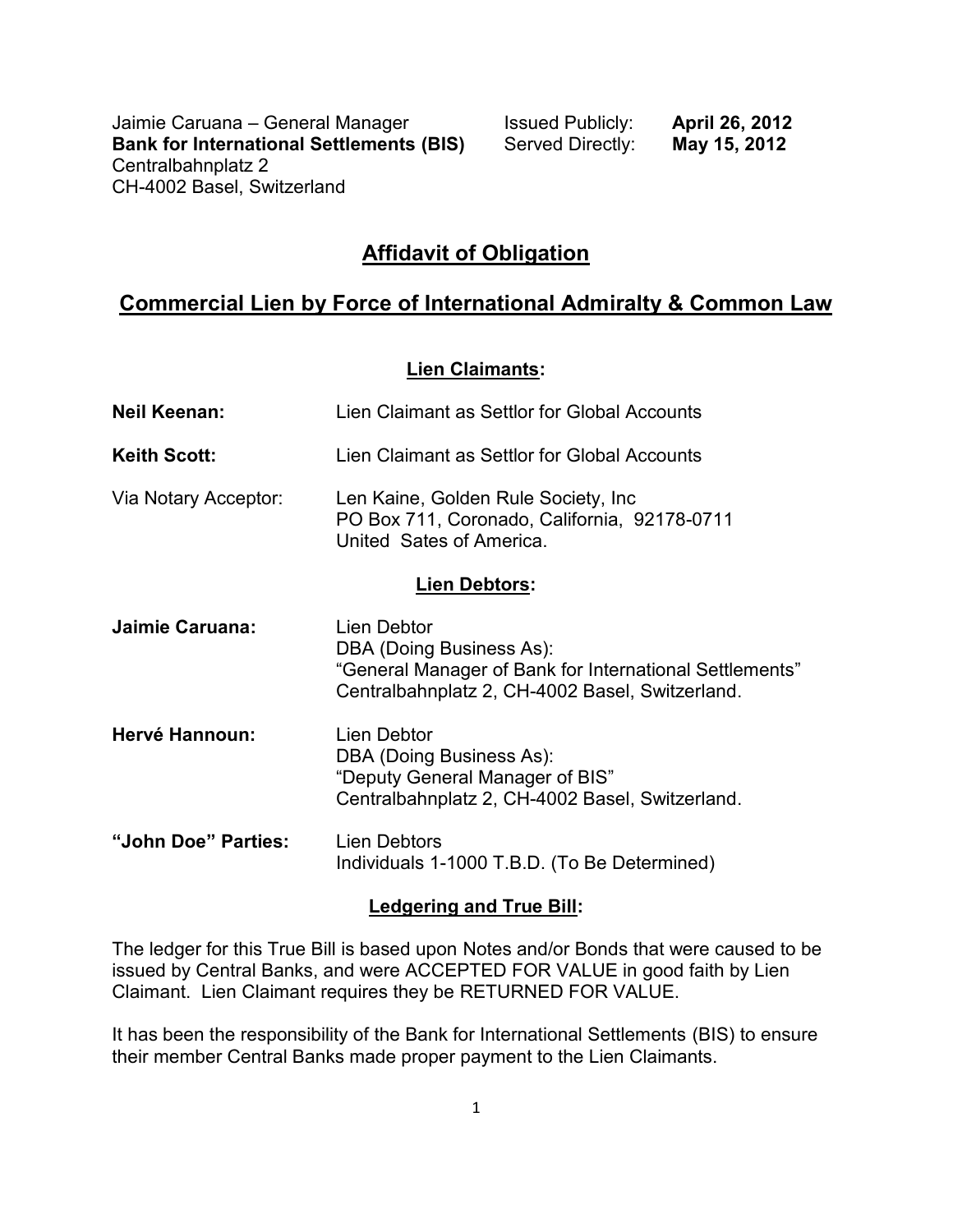Jaimie Caruana – General Manager **Interpret Caruana – General Manager** Issued Publicly: **April 26, 2012**<br>**Bank for International Settlements (BIS)** Served Directly: **May 15, 2012 Bank for International Settlements (BIS)** Centralbahnplatz 2 CH-4002 Basel, Switzerland

# **Affidavit of Obligation**

# **Commercial Lien by Force of International Admiralty & Common Law**

#### **Lien Claimants:**

| <b>Neil Keenan:</b>  | Lien Claimant as Settlor for Global Accounts                                                                                                          |
|----------------------|-------------------------------------------------------------------------------------------------------------------------------------------------------|
| <b>Keith Scott:</b>  | Lien Claimant as Settlor for Global Accounts                                                                                                          |
| Via Notary Acceptor: | Len Kaine, Golden Rule Society, Inc.<br>PO Box 711, Coronado, California, 92178-0711<br>United Sates of America.                                      |
| <b>Lien Debtors:</b> |                                                                                                                                                       |
| Jaimie Caruana:      | Lien Debtor<br>DBA (Doing Business As):<br>"General Manager of Bank for International Settlements"<br>Centralbahnplatz 2, CH-4002 Basel, Switzerland. |
| Hervé Hannoun:       | Lien Debtor<br>DBA (Doing Business As):<br>"Deputy General Manager of BIS"<br>Centralbahnplatz 2, CH-4002 Basel, Switzerland.                         |
| "John Doe" Parties:  | <b>Lien Debtors</b><br>Individuals 1-1000 T.B.D. (To Be Determined)                                                                                   |
|                      |                                                                                                                                                       |

#### **Ledgering and True Bill:**

The ledger for this True Bill is based upon Notes and/or Bonds that were caused to be issued by Central Banks, and were ACCEPTED FOR VALUE in good faith by Lien Claimant. Lien Claimant requires they be RETURNED FOR VALUE.

It has been the responsibility of the Bank for International Settlements (BIS) to ensure their member Central Banks made proper payment to the Lien Claimants.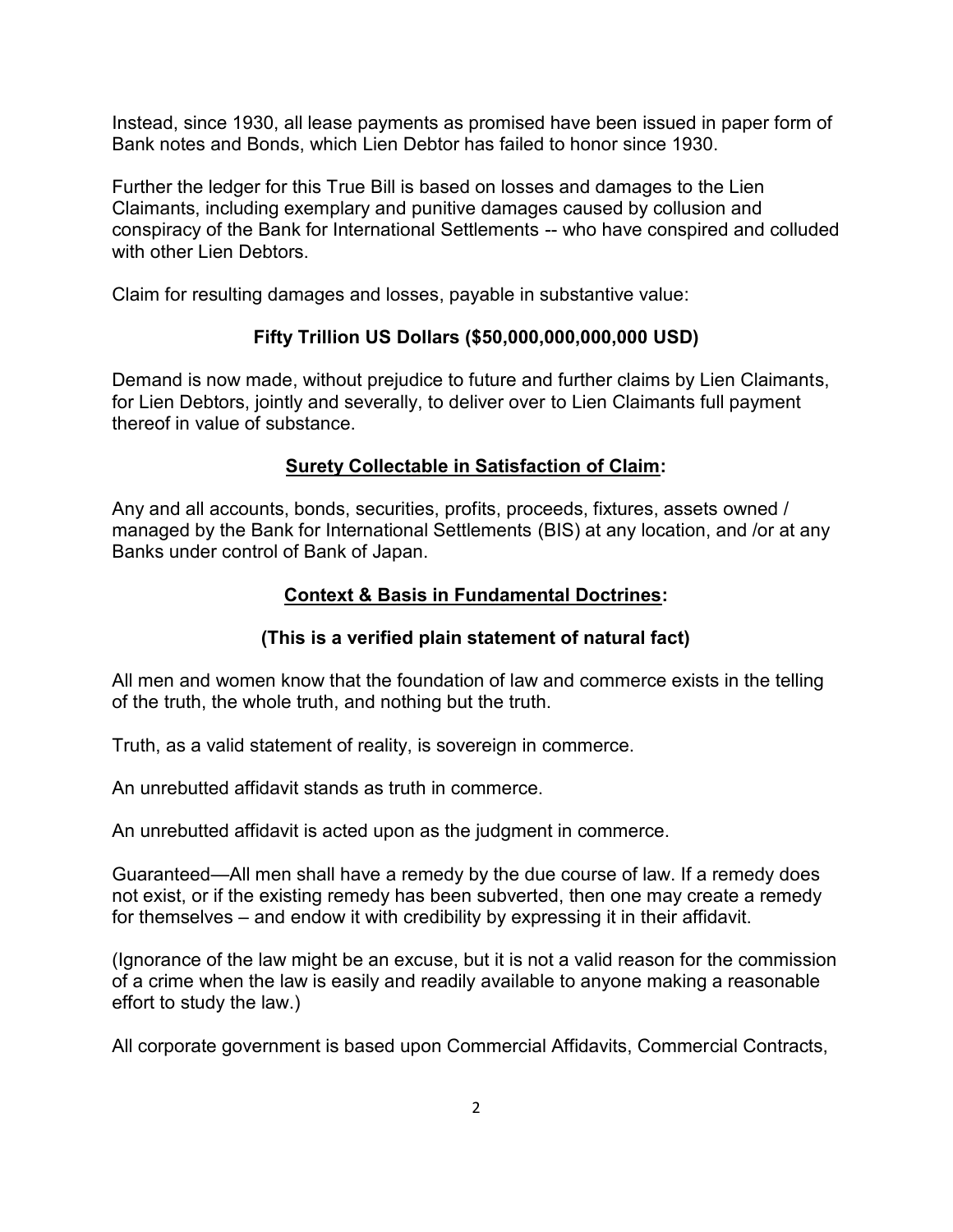Instead, since 1930, all lease payments as promised have been issued in paper form of Bank notes and Bonds, which Lien Debtor has failed to honor since 1930.

Further the ledger for this True Bill is based on losses and damages to the Lien Claimants, including exemplary and punitive damages caused by collusion and conspiracy of the Bank for International Settlements -- who have conspired and colluded with other Lien Debtors.

Claim for resulting damages and losses, payable in substantive value:

## **Fifty Trillion US Dollars (\$50,000,000,000,000 USD)**

Demand is now made, without prejudice to future and further claims by Lien Claimants, for Lien Debtors, jointly and severally, to deliver over to Lien Claimants full payment thereof in value of substance.

# **Surety Collectable in Satisfaction of Claim:**

Any and all accounts, bonds, securities, profits, proceeds, fixtures, assets owned / managed by the Bank for International Settlements (BIS) at any location, and /or at any Banks under control of Bank of Japan.

## **Context & Basis in Fundamental Doctrines:**

### **(This is a verified plain statement of natural fact)**

All men and women know that the foundation of law and commerce exists in the telling of the truth, the whole truth, and nothing but the truth.

Truth, as a valid statement of reality, is sovereign in commerce.

An unrebutted affidavit stands as truth in commerce.

An unrebutted affidavit is acted upon as the judgment in commerce.

Guaranteed—All men shall have a remedy by the due course of law. If a remedy does not exist, or if the existing remedy has been subverted, then one may create a remedy for themselves – and endow it with credibility by expressing it in their affidavit.

(Ignorance of the law might be an excuse, but it is not a valid reason for the commission of a crime when the law is easily and readily available to anyone making a reasonable effort to study the law.)

All corporate government is based upon Commercial Affidavits, Commercial Contracts,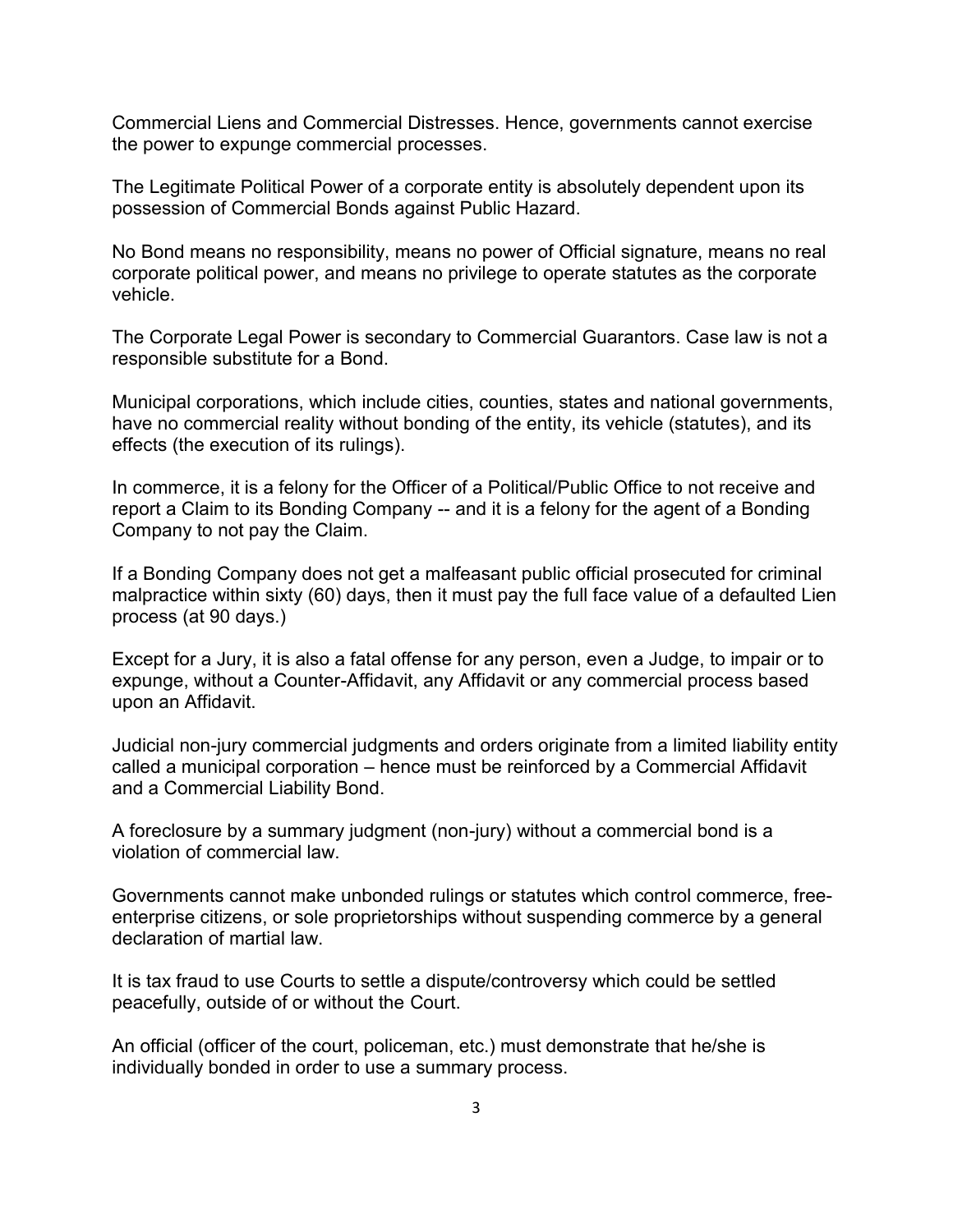Commercial Liens and Commercial Distresses. Hence, governments cannot exercise the power to expunge commercial processes.

The Legitimate Political Power of a corporate entity is absolutely dependent upon its possession of Commercial Bonds against Public Hazard.

No Bond means no responsibility, means no power of Official signature, means no real corporate political power, and means no privilege to operate statutes as the corporate vehicle.

The Corporate Legal Power is secondary to Commercial Guarantors. Case law is not a responsible substitute for a Bond.

Municipal corporations, which include cities, counties, states and national governments, have no commercial reality without bonding of the entity, its vehicle (statutes), and its effects (the execution of its rulings).

In commerce, it is a felony for the Officer of a Political/Public Office to not receive and report a Claim to its Bonding Company -- and it is a felony for the agent of a Bonding Company to not pay the Claim.

If a Bonding Company does not get a malfeasant public official prosecuted for criminal malpractice within sixty (60) days, then it must pay the full face value of a defaulted Lien process (at 90 days.)

Except for a Jury, it is also a fatal offense for any person, even a Judge, to impair or to expunge, without a Counter-Affidavit, any Affidavit or any commercial process based upon an Affidavit.

Judicial non-jury commercial judgments and orders originate from a limited liability entity called a municipal corporation – hence must be reinforced by a Commercial Affidavit and a Commercial Liability Bond.

A foreclosure by a summary judgment (non-jury) without a commercial bond is a violation of commercial law.

Governments cannot make unbonded rulings or statutes which control commerce, freeenterprise citizens, or sole proprietorships without suspending commerce by a general declaration of martial law.

It is tax fraud to use Courts to settle a dispute/controversy which could be settled peacefully, outside of or without the Court.

An official (officer of the court, policeman, etc.) must demonstrate that he/she is individually bonded in order to use a summary process.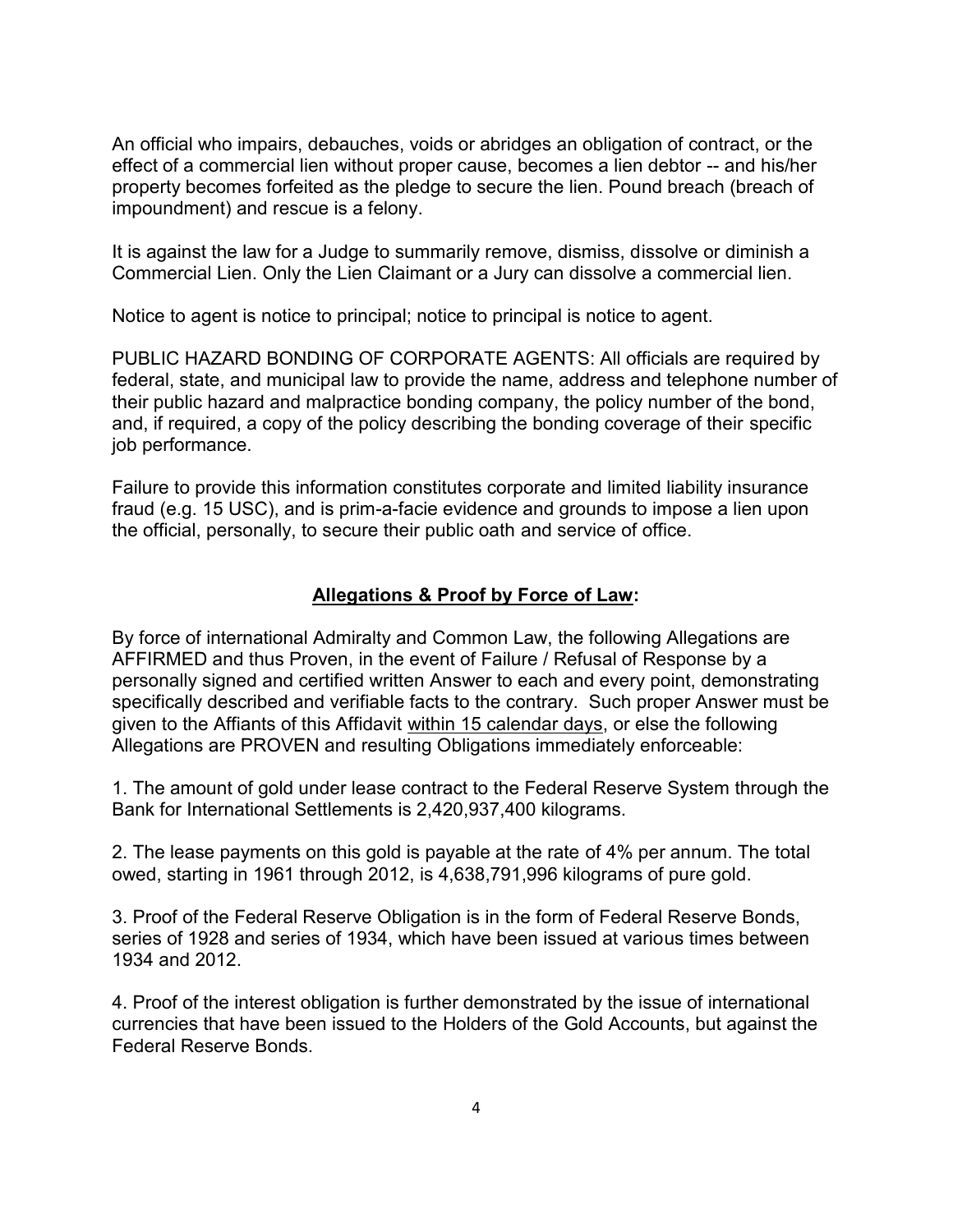An official who impairs, debauches, voids or abridges an obligation of contract, or the effect of a commercial lien without proper cause, becomes a lien debtor -- and his/her property becomes forfeited as the pledge to secure the lien. Pound breach (breach of impoundment) and rescue is a felony.

It is against the law for a Judge to summarily remove, dismiss, dissolve or diminish a Commercial Lien. Only the Lien Claimant or a Jury can dissolve a commercial lien.

Notice to agent is notice to principal; notice to principal is notice to agent.

PUBLIC HAZARD BONDING OF CORPORATE AGENTS: All officials are required by federal, state, and municipal law to provide the name, address and telephone number of their public hazard and malpractice bonding company, the policy number of the bond, and, if required, a copy of the policy describing the bonding coverage of their specific job performance.

Failure to provide this information constitutes corporate and limited liability insurance fraud (e.g. 15 USC), and is prim-a-facie evidence and grounds to impose a lien upon the official, personally, to secure their public oath and service of office.

## **Allegations & Proof by Force of Law:**

By force of international Admiralty and Common Law, the following Allegations are AFFIRMED and thus Proven, in the event of Failure / Refusal of Response by a personally signed and certified written Answer to each and every point, demonstrating specifically described and verifiable facts to the contrary. Such proper Answer must be given to the Affiants of this Affidavit within 15 calendar days, or else the following Allegations are PROVEN and resulting Obligations immediately enforceable:

1. The amount of gold under lease contract to the Federal Reserve System through the Bank for International Settlements is 2,420,937,400 kilograms.

2. The lease payments on this gold is payable at the rate of 4% per annum. The total owed, starting in 1961 through 2012, is 4,638,791,996 kilograms of pure gold.

3. Proof of the Federal Reserve Obligation is in the form of Federal Reserve Bonds, series of 1928 and series of 1934, which have been issued at various times between 1934 and 2012.

4. Proof of the interest obligation is further demonstrated by the issue of international currencies that have been issued to the Holders of the Gold Accounts, but against the Federal Reserve Bonds.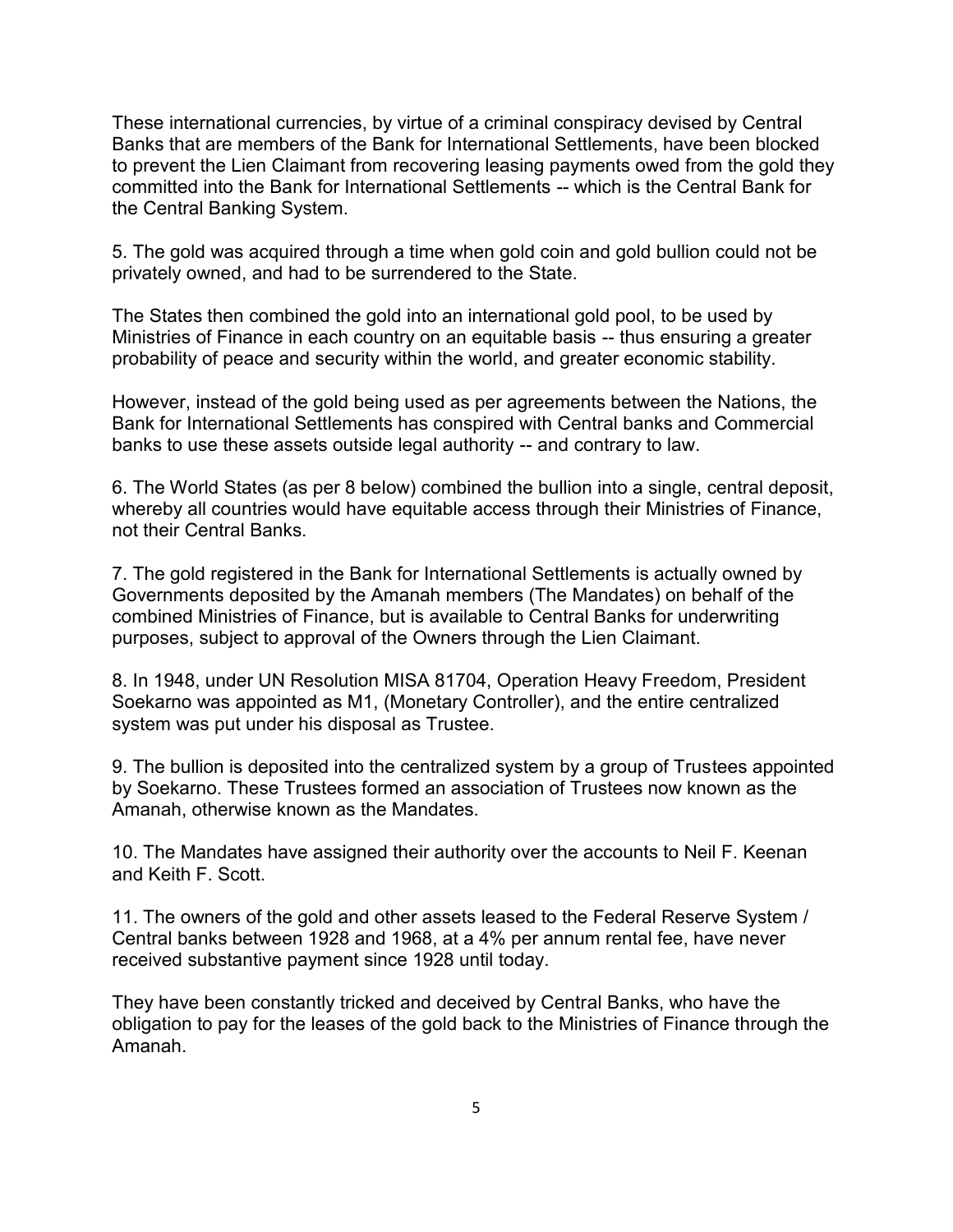These international currencies, by virtue of a criminal conspiracy devised by Central Banks that are members of the Bank for International Settlements, have been blocked to prevent the Lien Claimant from recovering leasing payments owed from the gold they committed into the Bank for International Settlements -- which is the Central Bank for the Central Banking System.

5. The gold was acquired through a time when gold coin and gold bullion could not be privately owned, and had to be surrendered to the State.

The States then combined the gold into an international gold pool, to be used by Ministries of Finance in each country on an equitable basis -- thus ensuring a greater probability of peace and security within the world, and greater economic stability.

However, instead of the gold being used as per agreements between the Nations, the Bank for International Settlements has conspired with Central banks and Commercial banks to use these assets outside legal authority -- and contrary to law.

6. The World States (as per 8 below) combined the bullion into a single, central deposit, whereby all countries would have equitable access through their Ministries of Finance, not their Central Banks.

7. The gold registered in the Bank for International Settlements is actually owned by Governments deposited by the Amanah members (The Mandates) on behalf of the combined Ministries of Finance, but is available to Central Banks for underwriting purposes, subject to approval of the Owners through the Lien Claimant.

8. In 1948, under UN Resolution MISA 81704, Operation Heavy Freedom, President Soekarno was appointed as M1, (Monetary Controller), and the entire centralized system was put under his disposal as Trustee.

9. The bullion is deposited into the centralized system by a group of Trustees appointed by Soekarno. These Trustees formed an association of Trustees now known as the Amanah, otherwise known as the Mandates.

10. The Mandates have assigned their authority over the accounts to Neil F. Keenan and Keith F. Scott.

11. The owners of the gold and other assets leased to the Federal Reserve System / Central banks between 1928 and 1968, at a 4% per annum rental fee, have never received substantive payment since 1928 until today.

They have been constantly tricked and deceived by Central Banks, who have the obligation to pay for the leases of the gold back to the Ministries of Finance through the Amanah.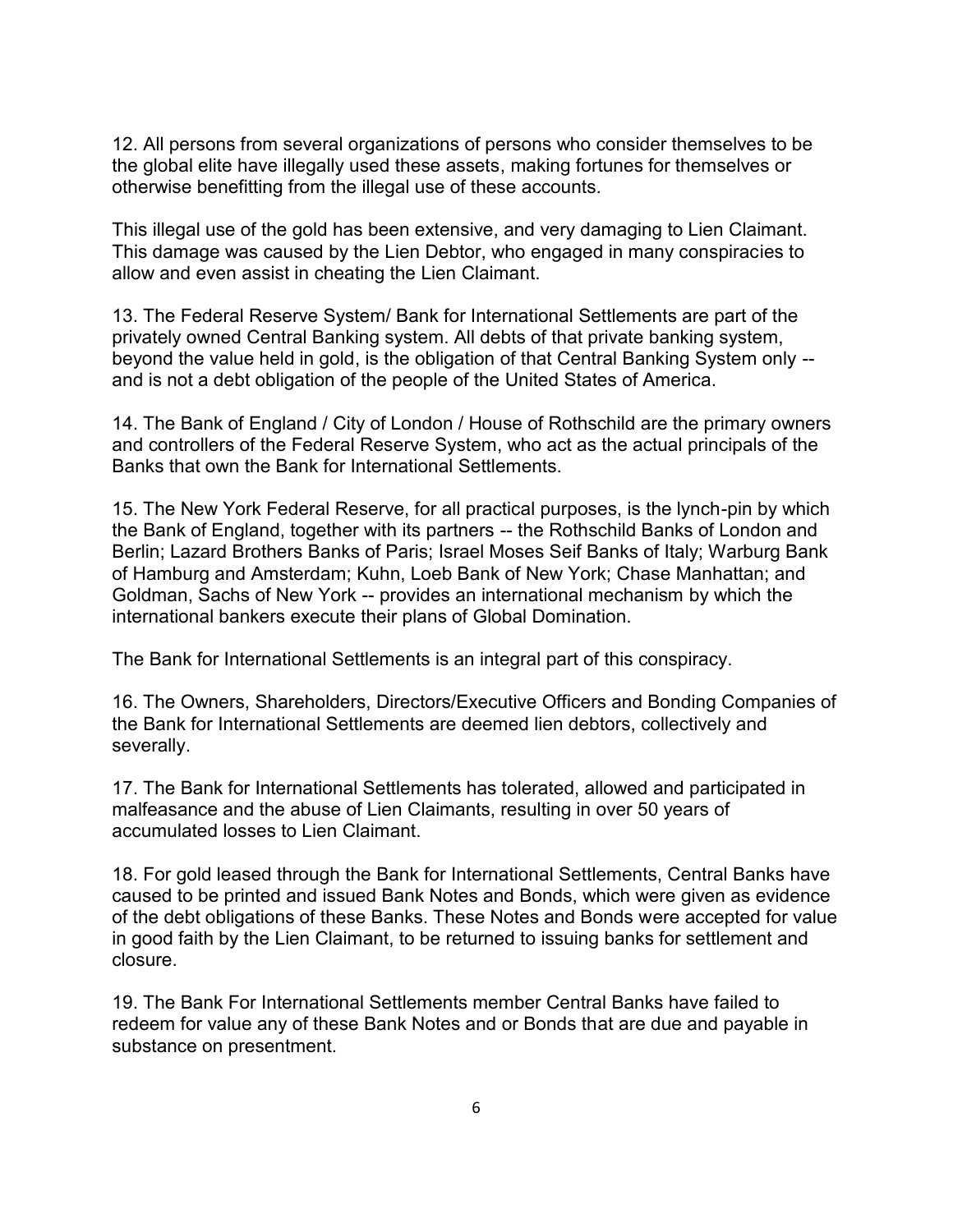12. All persons from several organizations of persons who consider themselves to be the global elite have illegally used these assets, making fortunes for themselves or otherwise benefitting from the illegal use of these accounts.

This illegal use of the gold has been extensive, and very damaging to Lien Claimant. This damage was caused by the Lien Debtor, who engaged in many conspiracies to allow and even assist in cheating the Lien Claimant.

13. The Federal Reserve System/ Bank for International Settlements are part of the privately owned Central Banking system. All debts of that private banking system, beyond the value held in gold, is the obligation of that Central Banking System only - and is not a debt obligation of the people of the United States of America.

14. The Bank of England / City of London / House of Rothschild are the primary owners and controllers of the Federal Reserve System, who act as the actual principals of the Banks that own the Bank for International Settlements.

15. The New York Federal Reserve, for all practical purposes, is the lynch-pin by which the Bank of England, together with its partners -- the Rothschild Banks of London and Berlin; Lazard Brothers Banks of Paris; Israel Moses Seif Banks of Italy; Warburg Bank of Hamburg and Amsterdam; Kuhn, Loeb Bank of New York; Chase Manhattan; and Goldman, Sachs of New York -- provides an international mechanism by which the international bankers execute their plans of Global Domination.

The Bank for International Settlements is an integral part of this conspiracy.

16. The Owners, Shareholders, Directors/Executive Officers and Bonding Companies of the Bank for International Settlements are deemed lien debtors, collectively and severally.

17. The Bank for International Settlements has tolerated, allowed and participated in malfeasance and the abuse of Lien Claimants, resulting in over 50 years of accumulated losses to Lien Claimant.

18. For gold leased through the Bank for International Settlements, Central Banks have caused to be printed and issued Bank Notes and Bonds, which were given as evidence of the debt obligations of these Banks. These Notes and Bonds were accepted for value in good faith by the Lien Claimant, to be returned to issuing banks for settlement and closure.

19. The Bank For International Settlements member Central Banks have failed to redeem for value any of these Bank Notes and or Bonds that are due and payable in substance on presentment.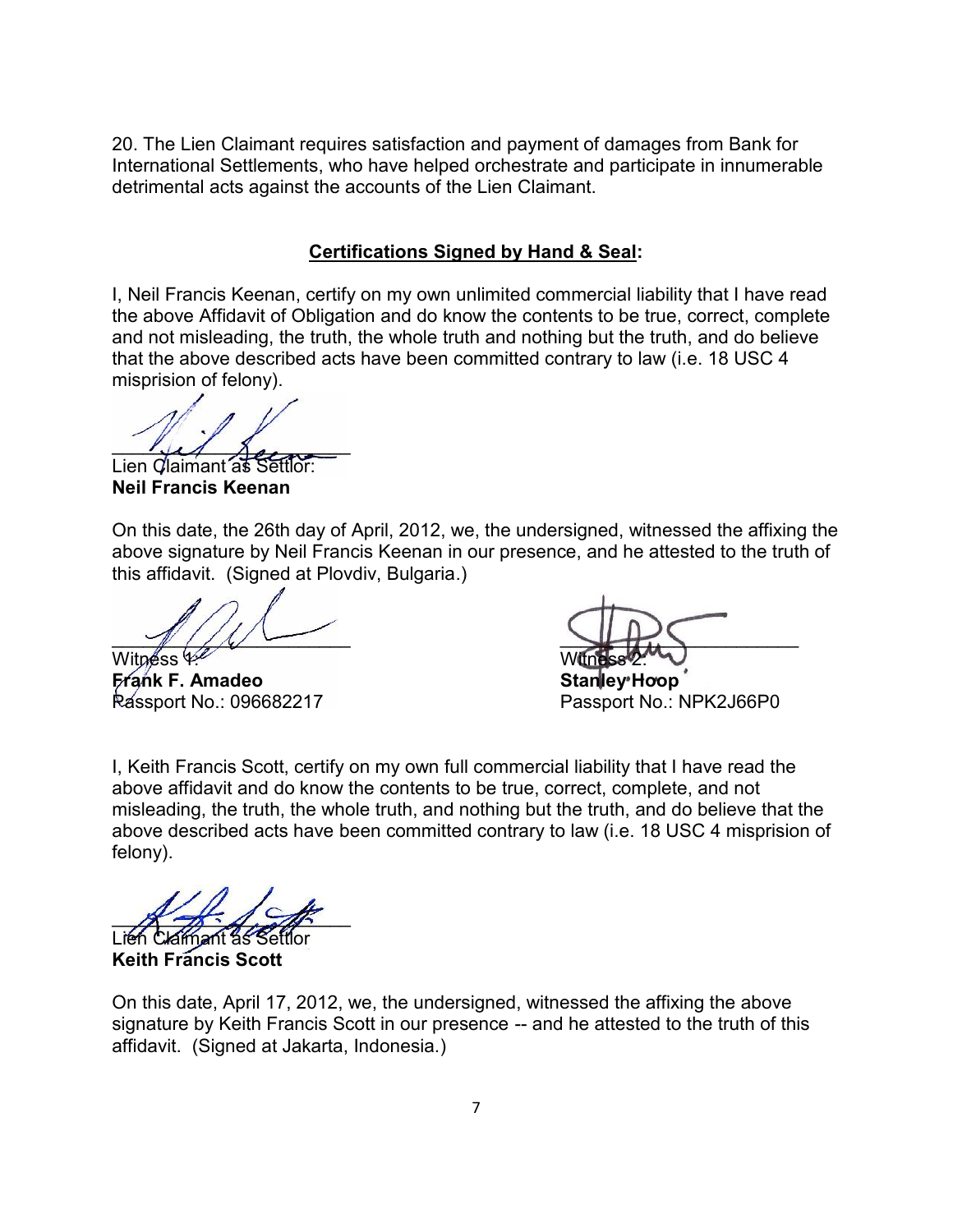20. The Lien Claimant requires satisfaction and payment of damages from Bank for International Settlements, who have helped orchestrate and participate in innumerable detrimental acts against the accounts of the Lien Claimant.

#### **Certifications Signed by Hand & Seal:**

I, Neil Francis Keenan, certify on my own unlimited commercial liability that I have read the above Affidavit of Obligation and do know the contents to be true, correct, complete and not misleading, the truth, the whole truth and nothing but the truth, and do believe that the above described acts have been committed contrary to law (i.e. 18 USC 4 misprision of felony).

 $\frac{1}{2}$ 

Lien Claimant as Settlor: **Neil Francis Keenan**

On this date, the 26th day of April, 2012, we, the undersigned, witnessed the affixing the above signature by Neil Francis Keenan in our presence, and he attested to the truth of this affidavit. (Signed at Plovdiv, Bulgaria.)

Witness 4 **Frank F. Amadeo Stanley Hoop**

 $\mathcal{N}/\mathcal{N}$ 

Passport No.: NPK2J66P0

I, Keith Francis Scott, certify on my own full commercial liability that I have read the above affidavit and do know the contents to be true, correct, complete, and not misleading, the truth, the whole truth, and nothing but the truth, and do believe that the above described acts have been committed contrary to law (i.e. 18 USC 4 misprision of felony).

 $\mathbb{X}$  -  $\mathbb{Z}$  -  $\mathbb{Z}$ 

Lien Claimant as Settlor **Keith Francis Scott**

On this date, April 17, 2012, we, the undersigned, witnessed the affixing the above signature by Keith Francis Scott in our presence -- and he attested to the truth of this affidavit. (Signed at Jakarta, Indonesia.)